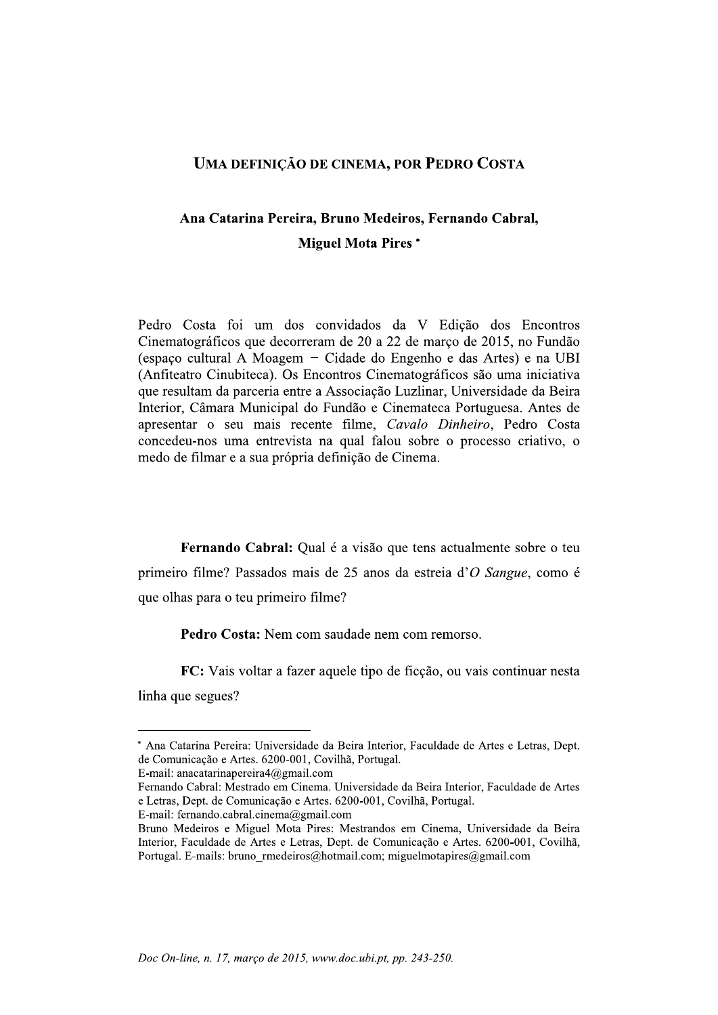## UMA DEFINIÇÃO DE CINEMA, POR PEDRO COSTA<br>Ana Catarina Pereira, Bruno Medeiros, Fernando Cabral,<br>Miguel Mota Pires \* Ana Catarina Pereira, Bruno Medeiros, Fernando Cabral, Miguel Mota Pires \*

Pedro Costa foi um dos convidados da V Edição dos Encontros Cinematográficos que decorreram de 20 a 22 de março de 2015, no Fundão (espaço cultural A Moagem - Cidade do Engenho e das Artes) e na UBI (Anfiteatro Cinubiteca). Os Encontros Cinematográficos são uma iniciativa que resultam da parceria entre a Associação Luzlinar, Universidade da Beira Interior, Câmara Municipal do Fundão e Cinemateca Portuguesa. Antes de apresentar o seu mais recente filme, Cavalo Dinheiro, Pedro Costa concedeu-nos uma entrevista na qual falou sobre o processo criativo, o medo de filmar e a sua própria definição de Cinema.

Fernando Cabral: Qual é a visão que tens actualmente sobre o teu primeiro filme? Passados mais de 25 anos da estreia d'O Sangue, como e que olhas para o teu primeiro filme?

Pedro Costa: Nem com saudade nem com remorso.

**FC:** Vais voltar a fazer aquele tipo de ficção, ou vais continuar nesta linha que segues?

\* Ana Catarina Pereira: Universidade da Beira Interior, Faculdade de Artes e Letras, Dept. de Comunicação e Artes. 6200-001, Covilhã, Portugal.

E-mail: anacatarinapereira $4@g$ mail.com

Fernando Cabral: Mestrado em Cinema. Universidade da Beira Interior, Faculdade de Artes e Letras, Dept. de Comunicação e Artes. 6200-001, Covilhã, Portugal.

E-mail: fernando.cabral.cinema@gmail.com

Bruno Medeiros e Miguel Mota Pires: Mestrandos em Cinema, Universidade da Beira Interior, Faculdade de Artes e Letras, Dept. de Comunicação e Artes. 6200-001, Covilhã, Portugal, E-mails: bruno rmedeiros@hotmail.com; miguelmotapires@gmail.com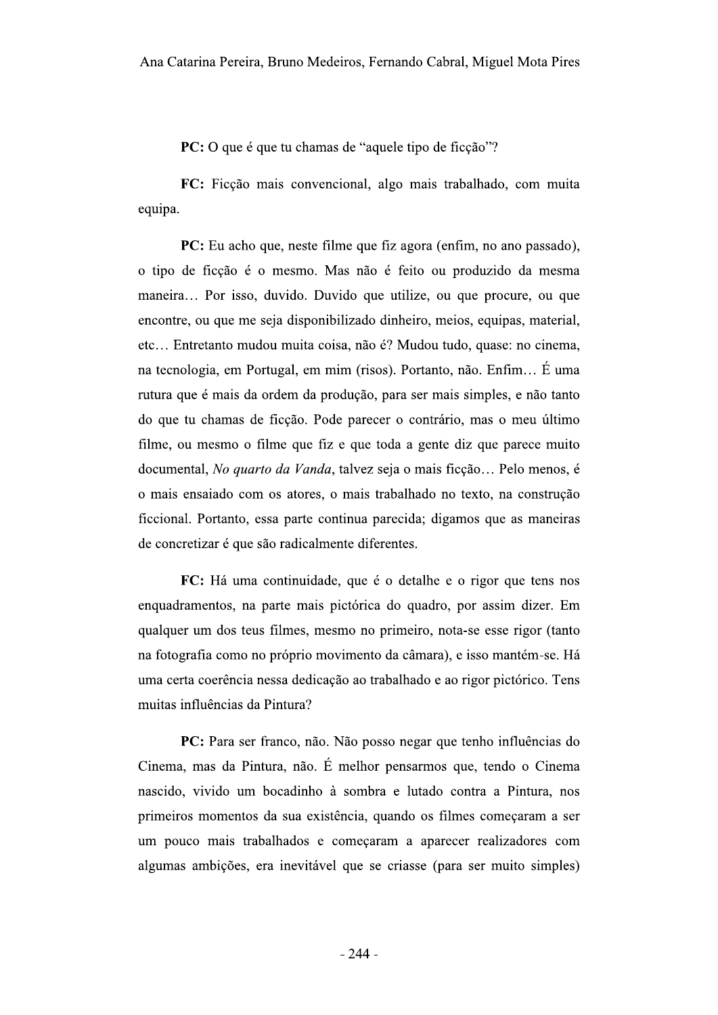PC: O que é que tu chamas de "aquele tipo de ficção"?

FC: Ficção mais convencional, algo mais trabalhado, com muita equipa.

**PC:** Eu acho que, neste filme que fiz agora (enfim, no ano passado), o tipo de ficção é o mesmo. Mas não é feito ou produzido da mesma maneira... Por isso, duvido. Duvido que utilize, ou que procure, ou que encontre, ou que me seja disponibilizado dinheiro, meios, equipas, material, etc... Entretanto mudou muita coisa, não é? Mudou tudo, quase: no cinema, na tecnologia, em Portugal, em mim (risos). Portanto, não. Enfim... É uma rutura que é mais da ordem da produção, para ser mais simples, e não tanto do que tu chamas de ficção. Pode parecer o contrário, mas o meu último filme, ou mesmo o filme que fiz e que toda a gente diz que parece muito documental, No quarto da Vanda, talvez seja o mais ficção... Pelo menos, é o mais ensaiado com os atores, o mais trabalhado no texto, na construção ficcional. Portanto, essa parte continua parecida; digamos que as maneiras de concretizar é que são radicalmente diferentes.

FC: Há uma continuidade, que é o detalhe e o rigor que tens nos enquadramentos, na parte mais pictórica do quadro, por assim dizer. Em qualquer um dos teus filmes, mesmo no primeiro, nota-se esse rigor (tanto na fotografía como no próprio movimento da câmara), e isso mantém-se. Há uma certa coerência nessa dedicação ao trabalhado e ao rigor pictórico. Tens muitas influências da Pintura?

**PC:** Para ser franco, não. Não posso negar que tenho influências do Cinema, mas da Pintura, não. É melhor pensarmos que, tendo o Cinema nascido, vivido um bocadinho à sombra e lutado contra a Pintura, nos primeiros momentos da sua existência, quando os filmes começaram a ser um pouco mais trabalhados e começaram a aparecer realizadores com algumas ambições, era inevitável que se criasse (para ser muito simples)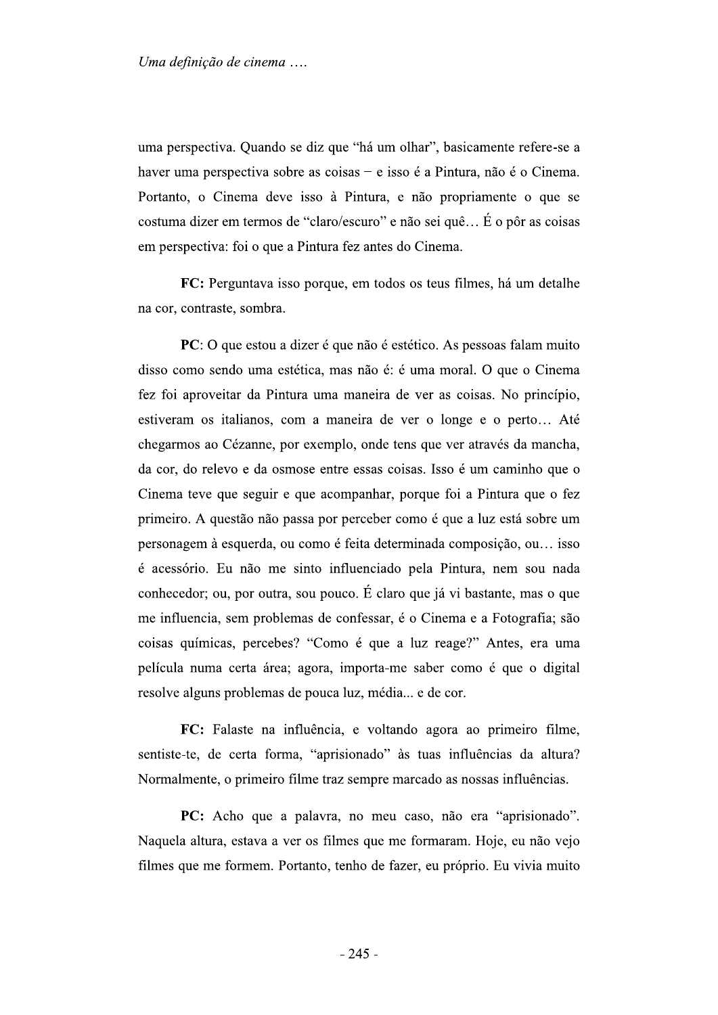Uma definição de cinema ....<br>
uma perspectiva. Quando se diz que "há um olhar", basicamente refere-se a<br>
haver uma perspectiva sobre as coisas – e isso é a Pintura, não é o Cinema.<br>
Portanto, o Cinema deve isso à Pintura, haver uma perspectiva sobre as coisas - e isso é a Pintura, não é o Cinema. Portanto, o Cinema deve isso à Pintura, e não propriamente o que se costuma dizer em termos de "claro/escuro" e não sei quê... É o pôr as coisas em perspectiva: foi o que a Pintura fez antes do Cinema.

FC: Perguntava isso porque, em todos os teus filmes, há um detalhe na cor, contraste, sombra.

PC: O que estou a dizer é que não é estético. As pessoas falam muito disso como sendo uma estética, mas não é: é uma moral. O que o Cinema fez foi aproveitar da Pintura uma maneira de ver as coisas. No princípio, estiveram os italianos, com a maneira de ver o longe e o perto... Até chegarmos ao Cézanne, por exemplo, onde tens que ver através da mancha, da cor, do relevo e da osmose entre essas coisas. Isso é um caminho que o Cinema teve que seguir e que acompanhar, porque foi a Pintura que o fez primeiro. A questão não passa por perceber como é que a luz está sobre um personagem à esquerda, ou como é feita determinada composição, ou... isso é acessório. Eu não me sinto influenciado pela Pintura, nem sou nada conhecedor; ou, por outra, sou pouco. É claro que já vi bastante, mas o que me influencia, sem problemas de confessar, é o Cinema e a Fotografia; são coisas químicas, percebes? "Como é que a luz reage?" Antes, era uma película numa certa área; agora, importa-me saber como é que o digital resolve alguns problemas de pouca luz, média... e de cor.

FC: Falaste na influência, e voltando agora ao primeiro filme, sentiste-te, de certa forma, "aprisionado" às tuas influências da altura? Normalmente, o primeiro filme traz sempre marcado as nossas influências.

PC: Acho que a palavra, no meu caso, não era "aprisionado". Naquela altura, estava a ver os filmes que me formaram. Hoje, eu não vejo filmes que me formem. Portanto, tenho de fazer, eu próprio. Eu vivia muito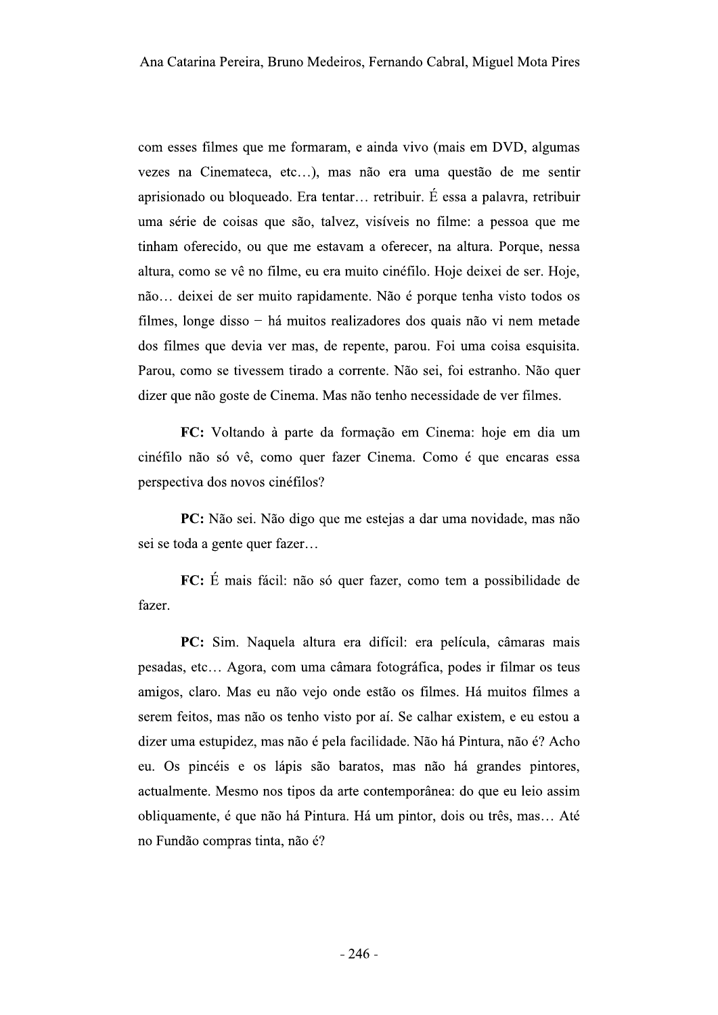com esses filmes que me formaram, e ainda vivo (mais em DVD, algumas vezes na Cinemateca, etc...), mas não era uma questão de me sentir aprisionado ou bloqueado. Era tentar... retribuir. É essa a palavra, retribuir uma série de coisas que são, talvez, visíveis no filme: a pessoa que me tinham oferecido, ou que me estavam a oferecer, na altura. Porque, nessa altura, como se vê no filme, eu era muito cinéfilo. Hoje deixei de ser. Hoje, não... deixei de ser muito rapidamente. Não é porque tenha visto todos os filmes, longe disso - há muitos realizadores dos quais não vi nem metade dos filmes que devia ver mas, de repente, parou. Foi uma coisa esquisita. Parou, como se tivessem tirado a corrente. Não sei, foi estranho. Não quer dizer que não goste de Cinema. Mas não tenho necessidade de ver filmes.

FC: Voltando à parte da formação em Cinema: hoje em dia um cinéfilo não só vê, como quer fazer Cinema. Como é que encaras essa perspectiva dos novos cinéfilos?

PC: Não sei. Não digo que me estejas a dar uma novidade, mas não sei se toda a gente quer fazer...

FC: É mais fácil: não só quer fazer, como tem a possibilidade de fazer.

PC: Sim. Naquela altura era difícil: era película, câmaras mais pesadas, etc... Agora, com uma câmara fotográfica, podes ir filmar os teus amigos, claro. Mas eu não vejo onde estão os filmes. Há muitos filmes a serem feitos, mas não os tenho visto por aí. Se calhar existem, e eu estou a dizer uma estupidez, mas não é pela facilidade. Não há Pintura, não é? Acho eu. Os pincéis e os lápis são baratos, mas não há grandes pintores, actualmente. Mesmo nos tipos da arte contemporânea: do que eu leio assim obliquamente, é que não há Pintura. Há um pintor, dois ou três, mas... Até no Fundão compras tinta, não é?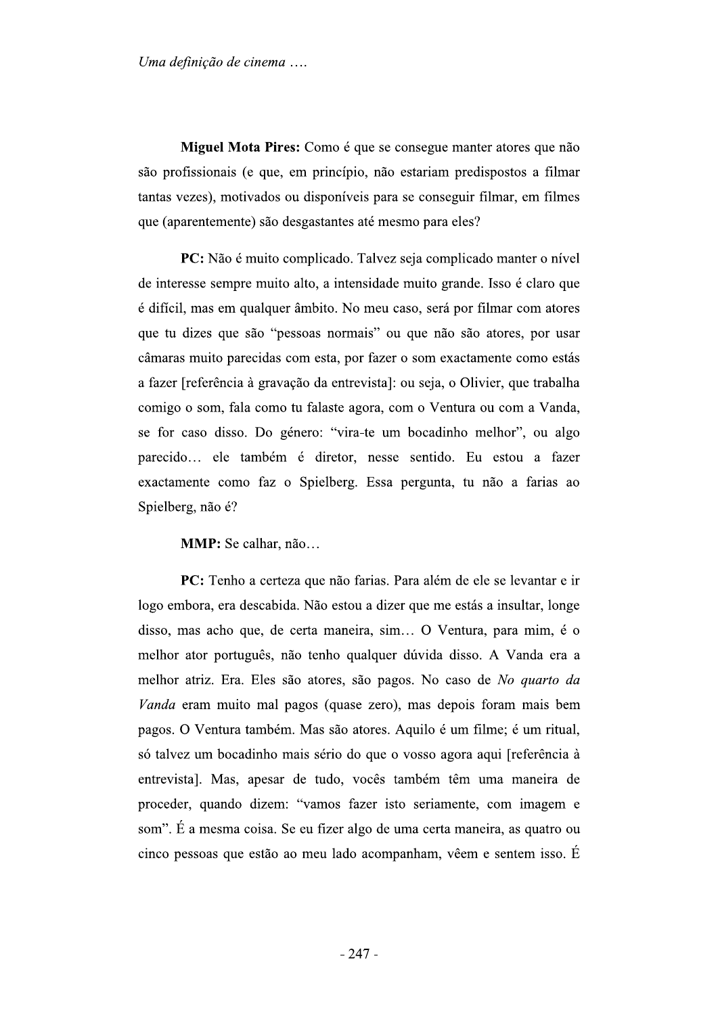Uma definição de cinema ....

Miguel Mota Pires: Como é que se consegue manter atores que não são profissionais (e que, em princípio, não estariam predispostos a filmar tantas vezes), motivados ou disponíveis para se conseguir filmar, em filmes que (aparentemente) são desgastantes até mesmo para eles?

PC: Não é muito complicado. Talvez seja complicado manter o nível de interesse sempre muito alto, a intensidade muito grande. Isso é claro que é difícil, mas em qualquer âmbito. No meu caso, será por filmar com atores que tu dizes que são "pessoas normais" ou que não são atores, por usar câmaras muito parecidas com esta, por fazer o som exactamente como estás a fazer [referência à gravação da entrevista]: ou seja, o Olivier, que trabalha comigo o som, fala como tu falaste agora, com o Ventura ou com a Vanda, se for caso disso. Do género: "vira-te um bocadinho melhor", ou algo parecido... ele também é diretor, nesse sentido. Eu estou a fazer exactamente como faz o Spielberg. Essa pergunta, tu não a farias ao Spielberg, não é?

MMP: Se calhar, não...

PC: Tenho a certeza que não farias. Para além de ele se levantar e ir logo embora, era descabida. Não estou a dizer que me estás a insultar, longe disso, mas acho que, de certa maneira, sim... O Ventura, para mim, é o melhor ator português, não tenho qualquer dúvida disso. A Vanda era a melhor atriz. Era. Eles são atores, são pagos. No caso de No quarto da Vanda eram muito mal pagos (quase zero), mas depois foram mais bem pagos. O Ventura também. Mas são atores. Aquilo é um filme; é um ritual, só talvez um bocadinho mais sério do que o vosso agora aqui [referência à entrevista]. Mas, apesar de tudo, vocês também têm uma maneira de proceder, quando dizem: "vamos fazer isto seriamente, com imagem e som". É a mesma coisa. Se eu fizer algo de uma certa maneira, as quatro ou cinco pessoas que estão ao meu lado acompanham, vêem e sentem isso. É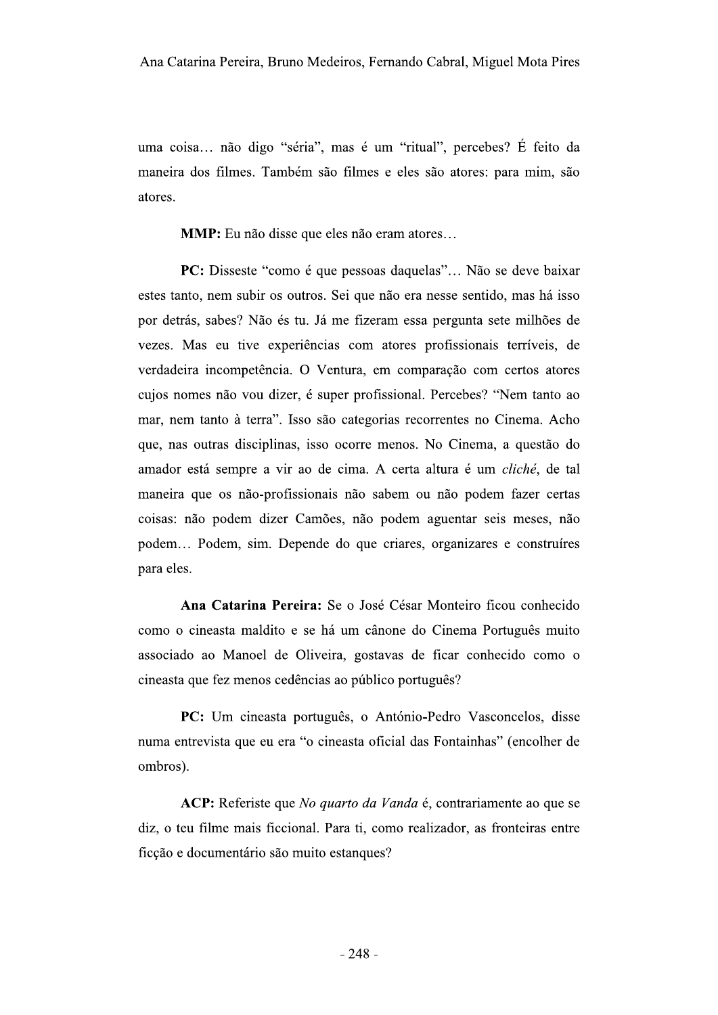uma coisa... não digo "séria", mas é um "ritual", percebes? É feito da maneira dos filmes. Também são filmes e eles são atores: para mim, são atores.

MMP: Eu não disse que eles não eram atores...

PC: Disseste "como é que pessoas daquelas"... Não se deve baixar estes tanto, nem subir os outros. Sei que não era nesse sentido, mas há isso por detrás, sabes? Não és tu. Já me fizeram essa pergunta sete milhões de vezes. Mas eu tive experiências com atores profissionais terríveis, de verdadeira incompetência. O Ventura, em comparação com certos atores cujos nomes não vou dizer, é super profissional. Percebes? "Nem tanto ao mar, nem tanto à terra". Isso são categorias recorrentes no Cinema. Acho que, nas outras disciplinas, isso ocorre menos. No Cinema, a questão do amador está sempre a vir ao de cima. A certa altura é um cliché, de tal maneira que os não-profissionais não sabem ou não podem fazer certas coisas: não podem dizer Camões, não podem aguentar seis meses, não podem... Podem, sim. Depende do que criares, organizares e construíres para eles.

Ana Catarina Pereira: Se o José César Monteiro ficou conhecido como o cineasta maldito e se há um cânone do Cinema Português muito associado ao Manoel de Oliveira, gostavas de ficar conhecido como o cineasta que fez menos cedências ao público português?

PC: Um cineasta português, o António-Pedro Vasconcelos, disse numa entrevista que eu era "o cineasta oficial das Fontainhas" (encolher de ombros).

ACP: Referiste que No quarto da Vanda é, contrariamente ao que se diz, o teu filme mais ficcional. Para ti, como realizador, as fronteiras entre ficção e documentário são muito estangues?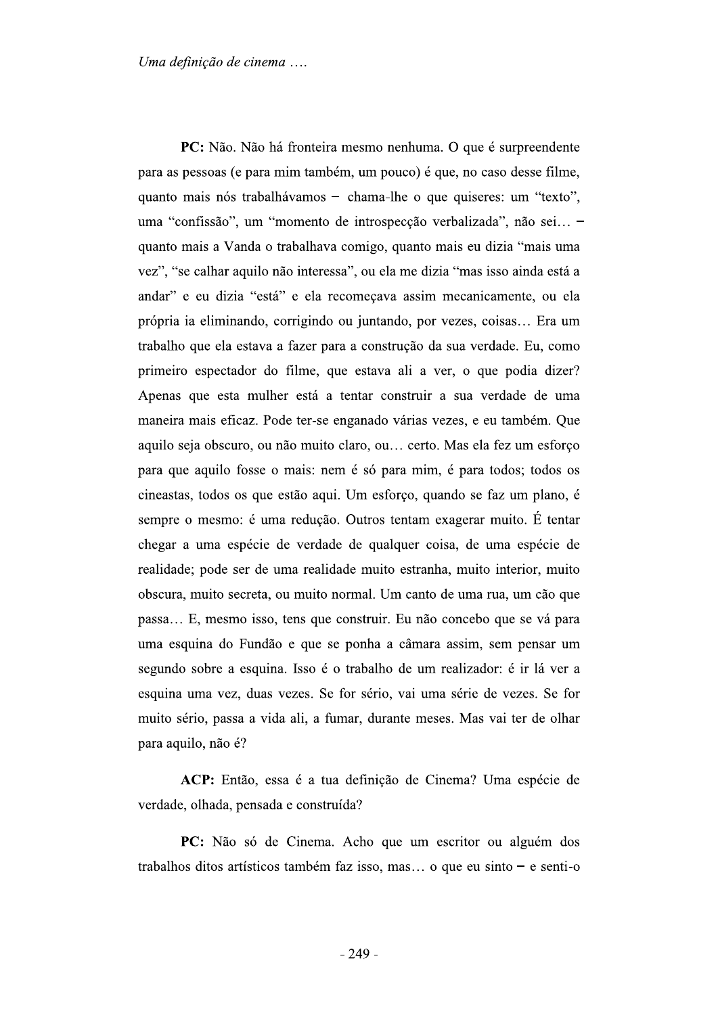Uma definição de cinema ....

PC: Não. Não há fronteira mesmo nenhuma. O que é surpreendente para as pessoas (e para mim também, um pouco) é que, no caso desse filme, quanto mais nós trabalhávamos - chama-lhe o que quiseres: um "texto", uma "confissão", um "momento de introspecção verbalizada", não sei... quanto mais a Vanda o trabalhava comigo, quanto mais eu dizia "mais uma vez", "se calhar aquilo não interessa", ou ela me dizia "mas isso ainda está a andar" e eu dizia "está" e ela recomeçava assim mecanicamente, ou ela própria ia eliminando, corrigindo ou juntando, por vezes, coisas... Era um trabalho que ela estava a fazer para a construção da sua verdade. Eu, como primeiro espectador do filme, que estava ali a ver, o que podia dizer? Apenas que esta mulher está a tentar construir a sua verdade de uma maneira mais eficaz. Pode ter-se enganado várias vezes, e eu também. Que aquilo seja obscuro, ou não muito claro, ou... certo. Mas ela fez um esforço para que aquilo fosse o mais: nem é só para mim, é para todos; todos os cineastas, todos os que estão aqui. Um esforço, quando se faz um plano, é sempre o mesmo: é uma redução. Outros tentam exagerar muito. É tentar chegar a uma espécie de verdade de qualquer coisa, de uma espécie de realidade; pode ser de uma realidade muito estranha, muito interior, muito obscura, muito secreta, ou muito normal. Um canto de uma rua, um cão que passa... E, mesmo isso, tens que construir. Eu não concebo que se vá para uma esquina do Fundão e que se ponha a câmara assim, sem pensar um segundo sobre a esquina. Isso é o trabalho de um realizador: é ir lá ver a esquina uma vez, duas vezes. Se for sério, vai uma série de vezes. Se for muito sério, passa a vida ali, a fumar, durante meses. Mas vai ter de olhar para aquilo, não é?

ACP: Então, essa é a tua definição de Cinema? Uma espécie de verdade, olhada, pensada e construída?

PC: Não só de Cinema. Acho que um escritor ou alguém dos trabalhos ditos artísticos também faz isso, mas... o que eu sinto - e senti-o